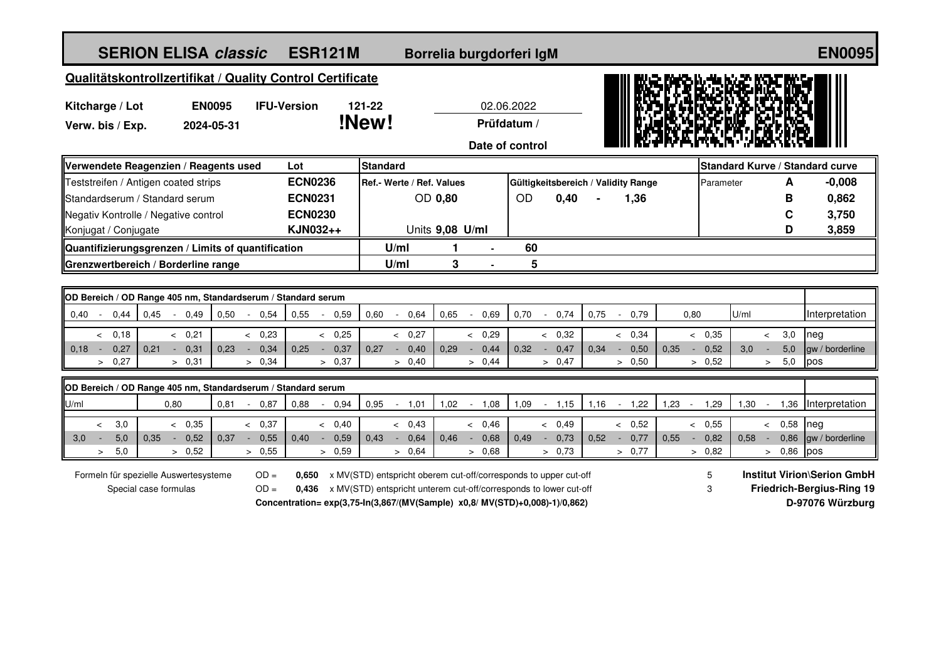| <b>SERION ELISA classic</b><br><b>ESR121M</b>                  |                             |                |                |                                       |                           |                                                                                                                                                                                                                      | Borrelia burgdorferi IgM                     |        |                 |                          |                |                                     |                             |        |      | <b>EN0095</b> |                |      |                                                                                            |   |          |                                 |        |                     |  |
|----------------------------------------------------------------|-----------------------------|----------------|----------------|---------------------------------------|---------------------------|----------------------------------------------------------------------------------------------------------------------------------------------------------------------------------------------------------------------|----------------------------------------------|--------|-----------------|--------------------------|----------------|-------------------------------------|-----------------------------|--------|------|---------------|----------------|------|--------------------------------------------------------------------------------------------|---|----------|---------------------------------|--------|---------------------|--|
| Qualitätskontrollzertifikat / Quality Control Certificate      |                             |                |                |                                       |                           |                                                                                                                                                                                                                      |                                              |        |                 |                          |                |                                     |                             |        |      |               |                |      |                                                                                            |   |          |                                 |        |                     |  |
| Kitcharge / Lot<br>Verw. bis / Exp.                            | <b>EN0095</b><br>2024-05-31 |                |                | 121-22<br><b>IFU-Version</b><br>!New! |                           |                                                                                                                                                                                                                      | 02.06.2022<br>Prüfdatum /<br>Date of control |        |                 |                          |                |                                     |                             |        |      |               |                |      |                                                                                            |   |          |                                 |        |                     |  |
| Verwendete Reagenzien / Reagents used                          |                             | Lot            |                | <b>Standard</b>                       |                           |                                                                                                                                                                                                                      |                                              |        |                 |                          |                |                                     |                             |        |      |               |                |      |                                                                                            |   |          | Standard Kurve / Standard curve |        |                     |  |
| Teststreifen / Antigen coated strips                           |                             | <b>ECN0236</b> |                |                                       | Ref.- Werte / Ref. Values |                                                                                                                                                                                                                      |                                              |        |                 |                          |                | Gültigkeitsbereich / Validity Range |                             |        |      |               | A<br>Parameter |      |                                                                                            |   | $-0,008$ |                                 |        |                     |  |
| Standardserum / Standard serum                                 |                             | <b>ECN0231</b> |                |                                       |                           |                                                                                                                                                                                                                      | <b>OD 0,80</b>                               |        |                 | OD                       |                | 0,40                                |                             |        | 1,36 |               |                |      |                                                                                            |   | В        | 0,862                           |        |                     |  |
| Negativ Kontrolle / Negative control                           |                             | <b>ECN0230</b> |                |                                       |                           |                                                                                                                                                                                                                      |                                              |        |                 |                          |                |                                     |                             |        |      |               |                |      |                                                                                            | C | 3,750    |                                 |        |                     |  |
| Konjugat / Conjugate                                           |                             |                |                | KJN032++                              |                           |                                                                                                                                                                                                                      |                                              |        | Units 9,08 U/ml |                          |                |                                     |                             |        |      |               |                |      |                                                                                            |   |          |                                 | D      | 3,859               |  |
| Quantifizierungsgrenzen / Limits of quantification             |                             |                |                |                                       |                           |                                                                                                                                                                                                                      | U/ml                                         |        | 1               |                          | $\blacksquare$ | 60                                  |                             |        |      |               |                |      |                                                                                            |   |          |                                 |        |                     |  |
| Grenzwertbereich / Borderline range                            |                             |                |                |                                       |                           |                                                                                                                                                                                                                      | U/ml                                         |        | 3               |                          |                | 5                                   |                             |        |      |               |                |      |                                                                                            |   |          |                                 |        |                     |  |
| OD Bereich / OD Range 405 nm, Standardserum / Standard serum   |                             |                |                |                                       |                           |                                                                                                                                                                                                                      |                                              |        |                 |                          |                |                                     |                             |        |      |               |                |      |                                                                                            |   |          |                                 |        |                     |  |
| 0,45<br>0,44<br>0,40<br>$\sim$<br>$\sim$                       | 0,49                        | 0,50           | 0,54<br>$\sim$ | 0,55                                  | 0,59                      | 0,60                                                                                                                                                                                                                 | $\blacksquare$                               | 0,64   | 0,65            | $\sim$                   | 0,69           | 0,70                                | $\sim$                      | 0,74   | 0,75 |               | $-0,79$        |      | 0,80                                                                                       |   | U/ml     |                                 |        | Interpretation      |  |
| 0,18<br>$\prec$                                                | & 0,21                      |                | & 0,23         |                                       | & 0,25                    |                                                                                                                                                                                                                      |                                              | & 0,27 |                 | $\overline{\phantom{a}}$ | 0,29           |                                     |                             | < 0,32 |      |               | < 0,34         |      | & 0.35                                                                                     |   |          | $\,<$                           | 3,0    | neg                 |  |
| 0,18<br>0,27<br>0,21<br>$\sim$                                 | 0,31                        | 0.23           | 0,34<br>$\sim$ | 0.25                                  | 0,37<br>$\sim$            | 0.27                                                                                                                                                                                                                 | $\mathcal{L}_{\mathcal{A}}$                  | 0,40   | 0,29            | $\sim$                   | 0,44           | 0.32                                | $\sim$                      | 0,47   | 0.34 | $\sim$        | 0,50           | 0,35 | 0,52<br>$\sim$                                                                             |   | 3,0      | $\sim$                          | 5,0    | gw / borderline     |  |
| > 0,27                                                         | > 0,31                      |                | > 0.34         |                                       | > 0,37                    |                                                                                                                                                                                                                      |                                              | > 0,40 |                 | > 0,44                   |                |                                     |                             | > 0,47 |      |               | > 0,50         |      | > 0,52                                                                                     |   |          | $\geq$                          | 5,0    | pos                 |  |
| OD Bereich / OD Range 405 nm, Standardserum / Standard serum   |                             |                |                |                                       |                           |                                                                                                                                                                                                                      |                                              |        |                 |                          |                |                                     |                             |        |      |               |                |      |                                                                                            |   |          |                                 |        |                     |  |
| 0,80<br>U/ml                                                   |                             | 0,81           | 0,87<br>$\sim$ | 0,88                                  | 0,94                      | 0,95                                                                                                                                                                                                                 | $\blacksquare$                               | 1,01   | 1,02            | $\sim$                   | 1,08           | 1,09                                | $\mathcal{L}_{\mathcal{A}}$ | 1,15   | 1,16 | $\sim$        | 1,22           | 1,23 | 1,29<br>$\sim$                                                                             |   | 1,30     | $\sim$                          |        | 1,36 Interpretation |  |
| 3,0<br>$\,<$                                                   | & 0.35                      |                | & 0.37         |                                       | < 0.40                    |                                                                                                                                                                                                                      |                                              | < 0.43 |                 | & 0.46                   |                |                                     |                             | < 0.49 |      |               | & 0,52         |      | & 0.55                                                                                     |   |          | $\prec$                         | 0,58   | nea                 |  |
| 5,0<br>3,0<br>0,35<br>$\sim$<br><b>CONTRACTOR</b>              | 0,52                        | 0,37           | 0,55<br>$\sim$ | 0,40                                  | 0,59<br>$\sim$            | 0.43                                                                                                                                                                                                                 | $\sim$                                       | 0,64   | 0,46            | $\sim$                   | 0,68           | 0,49                                | $\blacksquare$              | 0,73   | 0,52 | $\sim$        | 0,77           | 0,55 | 0,82<br>$\overline{a}$                                                                     |   | 0,58     | $\sim$                          | 0,86   | gw / borderline     |  |
| 5,0<br>$\geq$                                                  | > 0,52                      |                | > 0,55         |                                       | > 0,59                    |                                                                                                                                                                                                                      |                                              | > 0.64 |                 | > 0,68                   |                |                                     |                             | > 0.73 |      |               | > 0.77         |      | > 0,82                                                                                     |   |          |                                 | > 0,86 | pos                 |  |
| Formeln für spezielle Auswertesysteme<br>Special case formulas | $OD =$<br>$OD =$            | 0,650<br>0.436 |                |                                       |                           | x MV(STD) entspricht oberem cut-off/corresponds to upper cut-off<br>x MV(STD) entspricht unterem cut-off/corresponds to lower cut-off<br>Concentration= exp(3,75-ln(3,867/(MV(Sample) x0,8/ MV(STD)+0,008)-1)/0,862) |                                              |        |                 |                          |                |                                     |                             | 5<br>3 |      |               |                |      | <b>Institut Virion\Serion GmbH</b><br><b>Friedrich-Bergius-Ring 19</b><br>D-97076 Würzburg |   |          |                                 |        |                     |  |
|                                                                |                             |                |                |                                       |                           |                                                                                                                                                                                                                      |                                              |        |                 |                          |                |                                     |                             |        |      |               |                |      |                                                                                            |   |          |                                 |        |                     |  |
|                                                                |                             |                |                |                                       |                           |                                                                                                                                                                                                                      |                                              |        |                 |                          |                |                                     |                             |        |      |               |                |      |                                                                                            |   |          |                                 |        |                     |  |